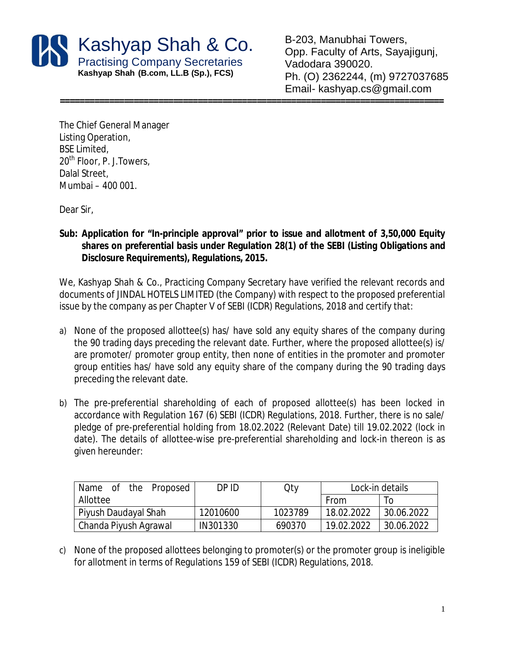

B-203, Manubhai Towers, Opp. Faculty of Arts, Sayajigunj, Vadodara 390020. Ph. (O) 2362244, (m) 9727037685 Email- kashyap.cs@gmail.com

**==============================================================================**

The Chief General Manager Listing Operation, BSE Limited, 20<sup>th</sup> Floor, P. J. Towers, Dalal Street, Mumbai – 400 001.

Dear Sir,

**Sub: Application for "In-principle approval" prior to issue and allotment of 3,50,000 Equity shares on preferential basis under Regulation 28(1) of the SEBI (Listing Obligations and Disclosure Requirements), Regulations, 2015.**

We, Kashyap Shah & Co., Practicing Company Secretary have verified the relevant records and documents of JINDAL HOTELS LIMITED (the Company) with respect to the proposed preferential issue by the company as per Chapter V of SEBI (ICDR) Regulations, 2018 and certify that:

- a) None of the proposed allottee(s) has/ have sold any equity shares of the company during the 90 trading days preceding the relevant date. Further, where the proposed allottee(s) is/ are promoter/ promoter group entity, then none of entities in the promoter and promoter group entities has/ have sold any equity share of the company during the 90 trading days preceding the relevant date.
- b) The pre-preferential shareholding of each of proposed allottee(s) has been locked in accordance with Regulation 167 (6) SEBI (ICDR) Regulations, 2018. Further, there is no sale/ pledge of pre-preferential holding from 18.02.2022 (Relevant Date) till 19.02.2022 (lock in date). The details of allottee-wise pre-preferential shareholding and lock-in thereon is as given hereunder:

| the Proposed<br>Name of | DP ID    | Qty     | Lock-in details |            |
|-------------------------|----------|---------|-----------------|------------|
| Allottee                |          |         | From            | To         |
| Piyush Daudayal Shah    | 12010600 | 1023789 | 18.02.2022      | 30.06.2022 |
| Chanda Piyush Agrawal   | IN301330 | 690370  | 19.02.2022      | 30.06.2022 |

c) None of the proposed allottees belonging to promoter(s) or the promoter group is ineligible for allotment in terms of Regulations 159 of SEBI (ICDR) Regulations, 2018.